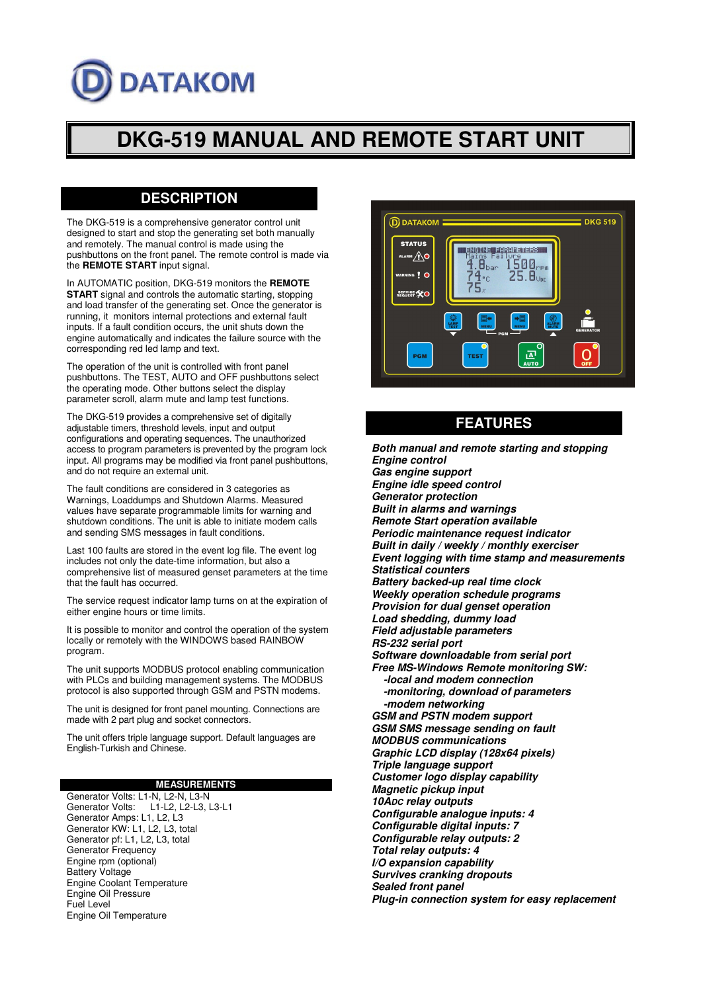# **DATAKOM**

# **DKG-519 MANUAL AND REMOTE START UNIT**

## **DESCRIPTION**

The DKG-519 is a comprehensive generator control unit designed to start and stop the generating set both manually and remotely. The manual control is made using the pushbuttons on the front panel. The remote control is made via the **REMOTE START** input signal.

In AUTOMATIC position, DKG-519 monitors the **REMOTE START** signal and controls the automatic starting, stopping and load transfer of the generating set. Once the generator is running, it monitors internal protections and external fault inputs. If a fault condition occurs, the unit shuts down the engine automatically and indicates the failure source with the corresponding red led lamp and text.

The operation of the unit is controlled with front panel pushbuttons. The TEST, AUTO and OFF pushbuttons select the operating mode. Other buttons select the display parameter scroll, alarm mute and lamp test functions.

The DKG-519 provides a comprehensive set of digitally adjustable timers, threshold levels, input and output configurations and operating sequences. The unauthorized access to program parameters is prevented by the program lock input. All programs may be modified via front panel pushbuttons, and do not require an external unit.

The fault conditions are considered in 3 categories as Warnings, Loaddumps and Shutdown Alarms. Measured values have separate programmable limits for warning and shutdown conditions. The unit is able to initiate modem calls and sending SMS messages in fault conditions.

Last 100 faults are stored in the event log file. The event log includes not only the date-time information, but also a comprehensive list of measured genset parameters at the time that the fault has occurred.

The service request indicator lamp turns on at the expiration of either engine hours or time limits.

It is possible to monitor and control the operation of the system locally or remotely with the WINDOWS based RAINBOW program.

The unit supports MODBUS protocol enabling communication with PLCs and building management systems. The MODBUS protocol is also supported through GSM and PSTN modems.

The unit is designed for front panel mounting. Connections are made with 2 part plug and socket connectors.

The unit offers triple language support. Default languages are English-Turkish and Chinese.

#### **MEASUREMENTS**

Generator Volts: L1-N, L2-N, L3-N<br>Generator Volts: L1-L2. L2-L3. L1-L2, L2-L3, L3-L1 Generator Amps: L1, L2, L3 Generator KW: L1, L2, L3, total Generator pf: L1, L2, L3, total Generator Frequency Engine rpm (optional) Battery Voltage Engine Coolant Temperature Engine Oil Pressure Fuel Level Engine Oil Temperature



# **FEATURES**

**Both manual and remote starting and stopping Engine control Gas engine support Engine idle speed control Generator protection Built in alarms and warnings Remote Start operation available Periodic maintenance request indicator Built in daily / weekly / monthly exerciser Event logging with time stamp and measurements Statistical counters Battery backed-up real time clock Weekly operation schedule programs Provision for dual genset operation Load shedding, dummy load Field adjustable parameters RS-232 serial port Software downloadable from serial port Free MS-Windows Remote monitoring SW: -local and modem connection -monitoring, download of parameters -modem networking GSM and PSTN modem support GSM SMS message sending on fault MODBUS communications Graphic LCD display (128x64 pixels) Triple language support Customer logo display capability Magnetic pickup input 10ADC relay outputs Configurable analogue inputs: 4 Configurable digital inputs: 7 Configurable relay outputs: 2 Total relay outputs: 4 I/O expansion capability Survives cranking dropouts Sealed front panel Plug-in connection system for easy replacement**